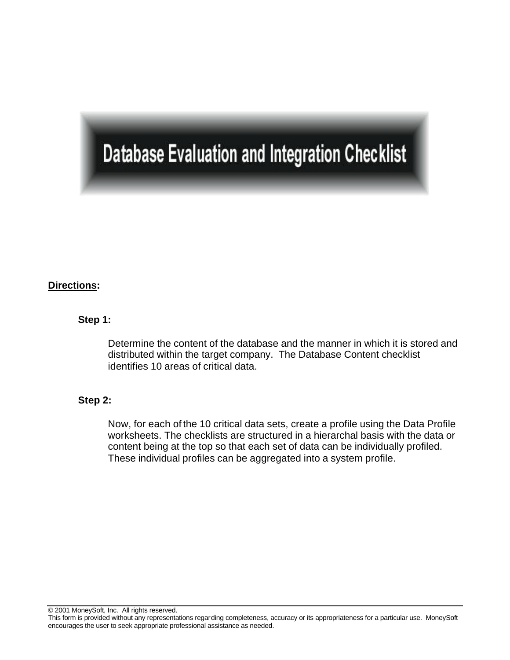# **Database Evaluation and Integration Checklist**

# **Directions:**

## **Step 1:**

Determine the content of the database and the manner in which it is stored and distributed within the target company. The Database Content checklist identifies 10 areas of critical data.

# **Step 2:**

Now, for each of the 10 critical data sets, create a profile using the Data Profile worksheets. The checklists are structured in a hierarchal basis with the data or content being at the top so that each set of data can be individually profiled. These individual profiles can be aggregated into a system profile.

© 2001 MoneySoft, Inc. All rights reserved.

This form is provided without any representations regarding completeness, accuracy or its appropriateness for a particular use. MoneySoft encourages the user to seek appropriate professional assistance as needed.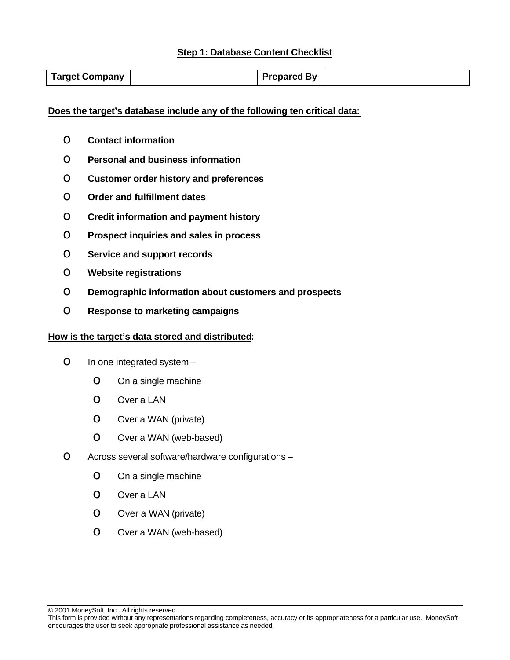## **Step 1: Database Content Checklist**

| <b>Prepared By</b><br><b>Target Company</b> |
|---------------------------------------------|
|---------------------------------------------|

#### **Does the target's database include any of the following ten critical data:**

- o **Contact information**
- o **Personal and business information**
- o **Customer order history and preferences**
- o **Order and fulfillment dates**
- o **Credit information and payment history**
- o **Prospect inquiries and sales in process**
- o **Service and support records**
- o **Website registrations**
- o **Demographic information about customers and prospects**
- o **Response to marketing campaigns**

#### **How is the target's data stored and distributed:**

- $\bigcirc$  In one integrated system
	- $O$  On a single machine
	- $O$  Over a LAN
	- $\bigcirc$  Over a WAN (private)
	- $\bigcirc$  Over a WAN (web-based)
- $\bigcirc$  Across several software/hardware configurations
	- $O$  On a single machine
	- o Over a LAN
	- $\bigcirc$  Over a WAN (private)
	- $\bigcirc$  Over a WAN (web-based)

© 2001 MoneySoft, Inc. All rights reserved.

This form is provided without any representations regarding completeness, accuracy or its appropriateness for a particular use. MoneySoft encourages the user to seek appropriate professional assistance as needed.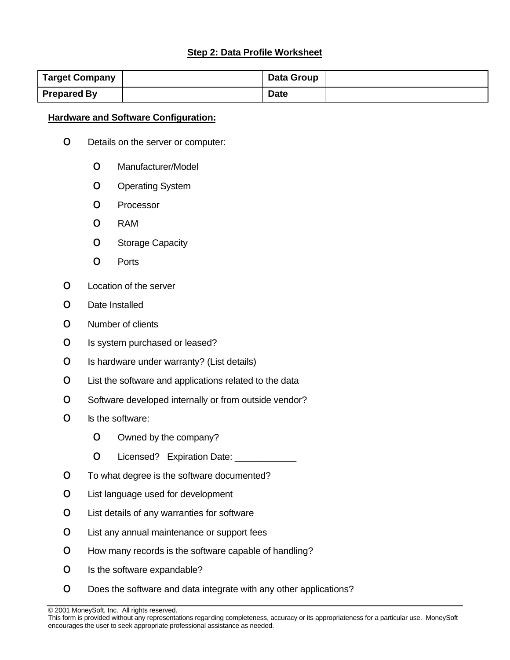# **Step 2: Data Profile Worksheet**

| <b>Target Company</b> | Data Group  |  |
|-----------------------|-------------|--|
| <b>Prepared By</b>    | <b>Date</b> |  |

## **Hardware and Software Configuration:**

- O Details on the server or computer:
	- o Manufacturer/Model
	- o Operating System
	- o Processor
	- o RAM
	- O Storage Capacity
	- o Ports
- o Location of the server
- $O$  Date Installed
- o Number of clients
- O Is system purchased or leased?
- $\circ$  Is hardware under warranty? (List details)
- $\circ$  List the software and applications related to the data
- o Software developed internally or from outside vendor?
- $\bigcirc$  Is the software:
	- $\bigcirc$  Owned by the company?
	- O Licensed? Expiration Date:
- $\circ$  To what degree is the software documented?
- o List language used for development
- $\bigcirc$  List details of any warranties for software
- $\circ$  List any annual maintenance or support fees
- $\circ$  How many records is the software capable of handling?
- $\circ$  Is the software expandable?
- $\circ$  Does the software and data integrate with any other applications?

© 2001 MoneySoft, Inc. All rights reserved.

This form is provided without any representations regarding completeness, accuracy or its appropriateness for a particular use. MoneySoft encourages the user to seek appropriate professional assistance as needed.